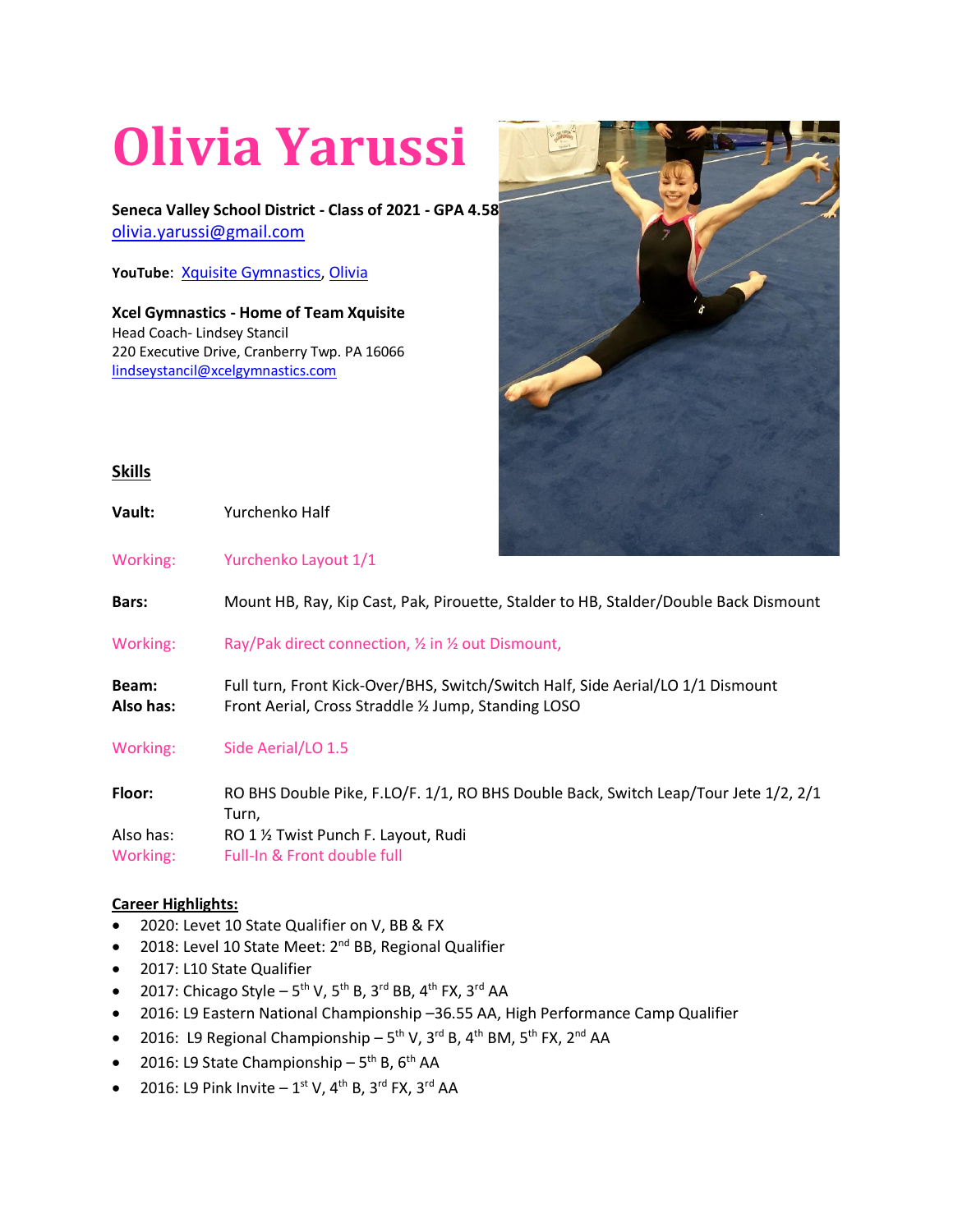## **Olivia Yarussi**

**Seneca Valley School District - Class of 2021 - GPA 4.58** [olivia.yarussi@gmail.com](mailto:olivia.yarussi@gmail.com)

**YouTube**: [Xquisite Gymnastics,](https://www.youtube.com/watch?v=4iGhuaMaMS8&list=PLcKLT2FWJ2dkExA8zFUzsE71aF7M1Kh7V) [Olivia](https://www.youtube.com/channel/UCiZtGXvhcyQPNbfYTilF5lw/playlists)

**Xcel Gymnastics - Home of Team Xquisite** Head Coach- Lindsey Stancil 220 Executive Drive, Cranberry Twp. PA 16066 [lindseystancil@xcelgymnastics.com](mailto:lindseystancil@xcelgymnastics.com)



## **Skills**

**Vault:** Yurchenko Half

Working: Yurchenko Layout 1/1

**Bars:** Mount HB, Ray, Kip Cast, Pak, Pirouette, Stalder to HB, Stalder/Double Back Dismount

Working: Ray/Pak direct connection, 1/2 in 1/2 out Dismount,

**Beam:** Full turn, Front Kick-Over/BHS, Switch/Switch Half, Side Aerial/LO 1/1 Dismount **Also has:** Front Aerial, Cross Straddle ½ Jump, Standing LOSO

Working: Side Aerial/LO 1.5

**Floor:** RO BHS Double Pike, F.LO/F. 1/1, RO BHS Double Back, Switch Leap/Tour Jete 1/2, 2/1 Turn, Also has: RO 1 ½ Twist Punch F. Layout, Rudi Working: Full-In & Front double full

## **Career Highlights:**

- 2020: Levet 10 State Qualifier on V, BB & FX
- 2018: Level 10 State Meet: 2<sup>nd</sup> BB, Regional Qualifier
- 2017: L10 State Qualifier
- 2017: Chicago Style  $5^{th}$  V,  $5^{th}$  B,  $3^{rd}$  BB,  $4^{th}$  FX,  $3^{rd}$  AA
- 2016: L9 Eastern National Championship –36.55 AA, High Performance Camp Qualifier
- 2016: L9 Regional Championship  $5^{th}$  V,  $3^{rd}$  B,  $4^{th}$  BM,  $5^{th}$  FX,  $2^{nd}$  AA
- 2016: L9 State Championship  $5<sup>th</sup>$  B,  $6<sup>th</sup>$  AA
- 2016: L9 Pink Invite  $-1^{st}$  V, 4<sup>th</sup> B, 3<sup>rd</sup> FX, 3<sup>rd</sup> AA